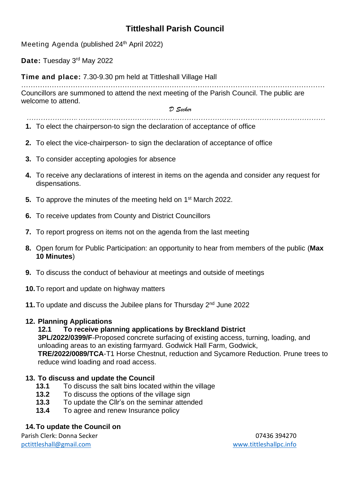# **Tittleshall Parish Council**

Meeting Agenda (published 24<sup>th</sup> April 2022)

Date: Tuesday 3<sup>rd</sup> May 2022

**Time and place:** 7.30-9.30 pm held at Tittleshall Village Hall

………………………………………………………………………………………………………………… Councillors are summoned to attend the next meeting of the Parish Council. The public are welcome to attend.

*D Secker*

- *………………….……………………………………………………………………………………………*  **1.** To elect the chairperson-to sign the declaration of acceptance of office
- **2.** To elect the vice-chairperson- to sign the declaration of acceptance of office
- **3.** To consider accepting apologies for absence
- **4.** To receive any declarations of interest in items on the agenda and consider any request for dispensations.
- **5.** To approve the minutes of the meeting held on 1<sup>st</sup> March 2022.
- **6.** To receive updates from County and District Councillors
- **7.** To report progress on items not on the agenda from the last meeting
- **8.** Open forum for Public Participation: an opportunity to hear from members of the public (**Max 10 Minutes**)
- **9.** To discuss the conduct of behaviour at meetings and outside of meetings
- **10.**To report and update on highway matters
- **11.**To update and discuss the Jubilee plans for Thursday 2nd June 2022

#### **12. Planning Applications**

#### **12.1 To receive planning applications by Breckland District**

**3PL/2022/0399/F**-Proposed concrete surfacing of existing access, turning, loading, and unloading areas to an existing farmyard. Godwick Hall Farm, Godwick, **TRE/2022/0089/TCA**-T1 Horse Chestnut, reduction and Sycamore Reduction. Prune trees to reduce wind loading and road access.

# **13. To discuss and update the Council**

- **13.1** To discuss the salt bins located within the village
- **13.2** To discuss the options of the village sign
- **13.3** To update the Cllr's on the seminar attended
- **13.4** To agree and renew Insurance policy

# **14.To update the Council on**

Parish Clerk: Donna Secker 07436 394270 [pctittleshall@gmail.com](mailto:pctittleshall@gmail.com) [www.tittleshallpc.info](http://www.tittleshallpc.info/)